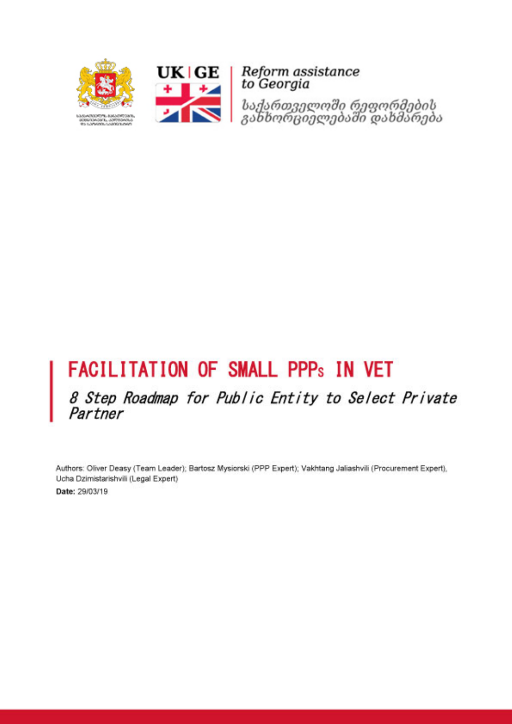



**UK | GE** | *Reform assistance*<br>  $\begin{array}{c|c|c|c} \hline \textbf{+} & \textbf{=} & \textbf{to Georgia} \end{array}$ 

საქართველოში რეფორმების<br>გახხორციელებაში დახმარება

# **FACILITATION OF SMALL PPPs IN VET**

8 Step Roadmap for Public Entity to Select Private Partner

Authors: Oliver Deasy (Team Leader); Bartosz Mysiorski (PPP Expert); Vakhtang Jaliashvili (Procurement Expert), Ucha Dzimistarishvili (Legal Expert) Date: 29/03/19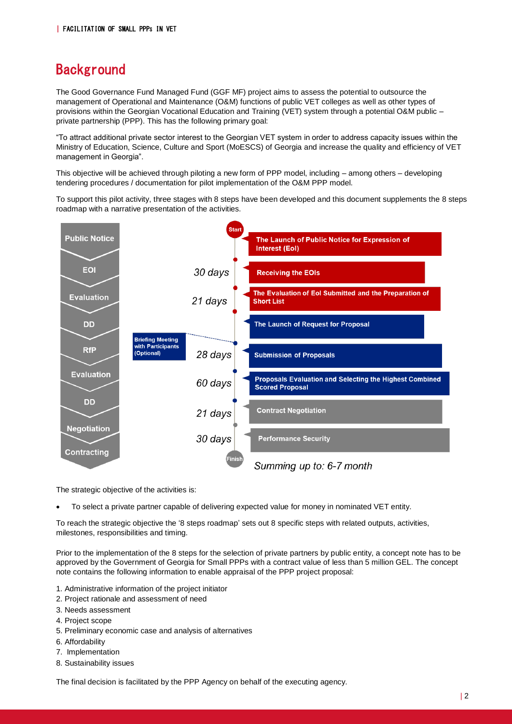#### **Background**

The Good Governance Fund Managed Fund (GGF MF) project aims to assess the potential to outsource the management of Operational and Maintenance (O&M) functions of public VET colleges as well as other types of provisions within the Georgian Vocational Education and Training (VET) system through a potential O&M public – private partnership (PPP). This has the following primary goal:

"To attract additional private sector interest to the Georgian VET system in order to address capacity issues within the Ministry of Education, Science, Culture and Sport (MoESCS) of Georgia and increase the quality and efficiency of VET management in Georgia".

This objective will be achieved through piloting a new form of PPP model, including – among others – developing tendering procedures / documentation for pilot implementation of the O&M PPP model.

To support this pilot activity, three stages with 8 steps have been developed and this document supplements the 8 steps roadmap with a narrative presentation of the activities.



The strategic objective of the activities is:

• To select a private partner capable of delivering expected value for money in nominated VET entity.

To reach the strategic objective the '8 steps roadmap' sets out 8 specific steps with related outputs, activities, milestones, responsibilities and timing.

Prior to the implementation of the 8 steps for the selection of private partners by public entity, a concept note has to be approved by the Government of Georgia for Small PPPs with a contract value of less than 5 million GEL. The concept note contains the following information to enable appraisal of the PPP project proposal:

- 1. Administrative information of the project initiator
- 2. Project rationale and assessment of need
- 3. Needs assessment
- 4. Project scope
- 5. Preliminary economic case and analysis of alternatives
- 6. Affordability
- 7. Implementation
- 8. Sustainability issues

The final decision is facilitated by the PPP Agency on behalf of the executing agency.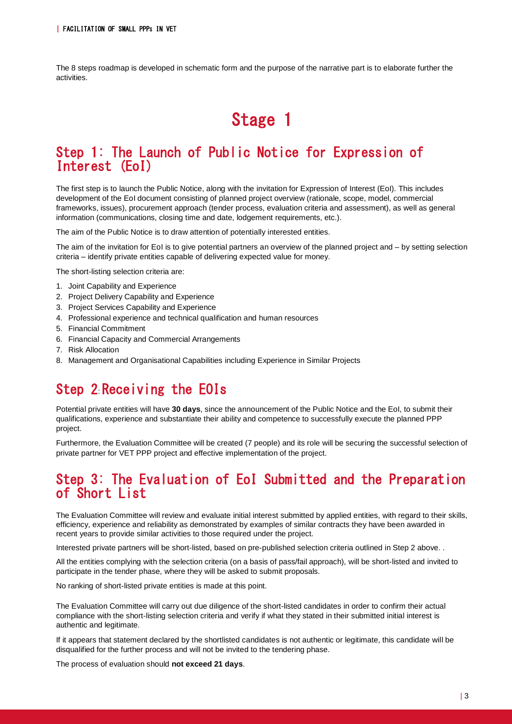The 8 steps roadmap is developed in schematic form and the purpose of the narrative part is to elaborate further the activities.

## Stage 1

#### Step 1: The Launch of Public Notice for Expression of Interest (EoI)

The first step is to launch the Public Notice, along with the invitation for Expression of Interest (EoI). This includes development of the EoI document consisting of planned project overview (rationale, scope, model, commercial frameworks, issues), procurement approach (tender process, evaluation criteria and assessment), as well as general information (communications, closing time and date, lodgement requirements, etc.).

The aim of the Public Notice is to draw attention of potentially interested entities.

The aim of the invitation for EoI is to give potential partners an overview of the planned project and – by setting selection criteria – identify private entities capable of delivering expected value for money.

The short-listing selection criteria are:

- 1. Joint Capability and Experience
- 2. Project Delivery Capability and Experience
- 3. Project Services Capability and Experience
- 4. Professional experience and technical qualification and human resources
- 5. Financial Commitment
- 6. Financial Capacity and Commercial Arrangements
- 7. Risk Allocation
- 8. Management and Organisational Capabilities including Experience in Similar Projects

#### Step 2 Receiving the EOIs

Potential private entities will have **30 days**, since the announcement of the Public Notice and the EoI, to submit their qualifications, experience and substantiate their ability and competence to successfully execute the planned PPP project.

Furthermore, the Evaluation Committee will be created (7 people) and its role will be securing the successful selection of private partner for VET PPP project and effective implementation of the project.

#### Step 3: The Evaluation of EoI Submitted and the Preparation of Short List

The Evaluation Committee will review and evaluate initial interest submitted by applied entities, with regard to their skills, efficiency, experience and reliability as demonstrated by examples of similar contracts they have been awarded in recent years to provide similar activities to those required under the project.

Interested private partners will be short-listed, based on pre-published selection criteria outlined in Step 2 above. .

All the entities complying with the selection criteria (on a basis of pass/fail approach), will be short-listed and invited to participate in the tender phase, where they will be asked to submit proposals.

No ranking of short-listed private entities is made at this point.

The Evaluation Committee will carry out due diligence of the short-listed candidates in order to confirm their actual compliance with the short-listing selection criteria and verify if what they stated in their submitted initial interest is authentic and legitimate.

If it appears that statement declared by the shortlisted candidates is not authentic or legitimate, this candidate will be disqualified for the further process and will not be invited to the tendering phase.

The process of evaluation should **not exceed 21 days**.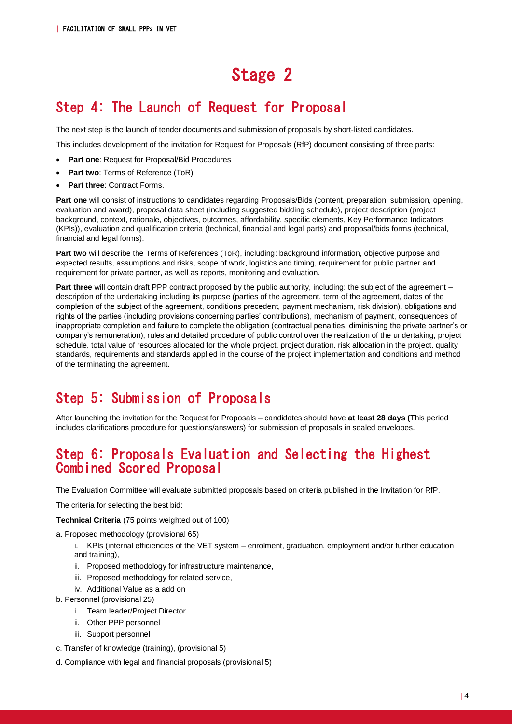## Stage 2

### Step 4: The Launch of Request for Proposal

The next step is the launch of tender documents and submission of proposals by short-listed candidates.

This includes development of the invitation for Request for Proposals (RfP) document consisting of three parts:

- **Part one**: Request for Proposal/Bid Procedures
- **Part two**: Terms of Reference (ToR)
- **Part three**: Contract Forms.

**Part one** will consist of instructions to candidates regarding Proposals/Bids (content, preparation, submission, opening, evaluation and award), proposal data sheet (including suggested bidding schedule), project description (project background, context, rationale, objectives, outcomes, affordability, specific elements, Key Performance Indicators (KPIs)), evaluation and qualification criteria (technical, financial and legal parts) and proposal/bids forms (technical, financial and legal forms).

**Part two** will describe the Terms of References (ToR), including: background information, objective purpose and expected results, assumptions and risks, scope of work, logistics and timing, requirement for public partner and requirement for private partner, as well as reports, monitoring and evaluation.

**Part three** will contain draft PPP contract proposed by the public authority, including: the subject of the agreement – description of the undertaking including its purpose (parties of the agreement, term of the agreement, dates of the completion of the subject of the agreement, conditions precedent, payment mechanism, risk division), obligations and rights of the parties (including provisions concerning parties' contributions), mechanism of payment, consequences of inappropriate completion and failure to complete the obligation (contractual penalties, diminishing the private partner's or company's remuneration), rules and detailed procedure of public control over the realization of the undertaking, project schedule, total value of resources allocated for the whole project, project duration, risk allocation in the project, quality standards, requirements and standards applied in the course of the project implementation and conditions and method of the terminating the agreement.

### Step 5: Submission of Proposals

After launching the invitation for the Request for Proposals – candidates should have **at least 28 days (**This period includes clarifications procedure for questions/answers) for submission of proposals in sealed envelopes.

#### Step 6: Proposals Evaluation and Selecting the Highest Combined Scored Proposal

The Evaluation Committee will evaluate submitted proposals based on criteria published in the Invitation for RfP.

The criteria for selecting the best bid:

**Technical Criteria** (75 points weighted out of 100)

a. Proposed methodology (provisional 65)

- i. KPIs (internal efficiencies of the VET system enrolment, graduation, employment and/or further education and training),
- ii. Proposed methodology for infrastructure maintenance,
- iii. Proposed methodology for related service,
- iv. Additional Value as a add on
- b. Personnel (provisional 25)
	- i. Team leader/Project Director
	- ii. Other PPP personnel
	- iii. Support personnel
- c. Transfer of knowledge (training), (provisional 5)
- d. Compliance with legal and financial proposals (provisional 5)